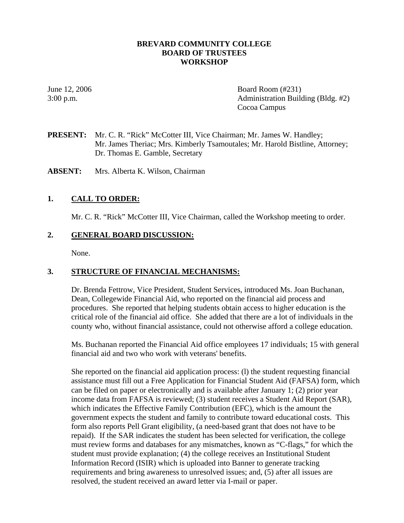### **BREVARD COMMUNITY COLLEGE BOARD OF TRUSTEES WORKSHOP**

June 12, 2006 **Board Room** (#231) 3:00 p.m. Administration Building (Bldg. #2) Cocoa Campus

**PRESENT:** Mr. C. R. "Rick" McCotter III, Vice Chairman; Mr. James W. Handley; Mr. James Theriac; Mrs. Kimberly Tsamoutales; Mr. Harold Bistline, Attorney; Dr. Thomas E. Gamble, Secretary

**ABSENT:** Mrs. Alberta K. Wilson, Chairman

### **1. CALL TO ORDER:**

Mr. C. R. "Rick" McCotter III, Vice Chairman, called the Workshop meeting to order.

### **2. GENERAL BOARD DISCUSSION:**

None.

### **3. STRUCTURE OF FINANCIAL MECHANISMS:**

Dr. Brenda Fettrow, Vice President, Student Services, introduced Ms. Joan Buchanan, Dean, Collegewide Financial Aid, who reported on the financial aid process and procedures. She reported that helping students obtain access to higher education is the critical role of the financial aid office. She added that there are a lot of individuals in the county who, without financial assistance, could not otherwise afford a college education.

Ms. Buchanan reported the Financial Aid office employees 17 individuals; 15 with general financial aid and two who work with veterans' benefits.

She reported on the financial aid application process: (l) the student requesting financial assistance must fill out a Free Application for Financial Student Aid (FAFSA) form, which can be filed on paper or electronically and is available after January 1; (2) prior year income data from FAFSA is reviewed; (3) student receives a Student Aid Report (SAR), which indicates the Effective Family Contribution (EFC), which is the amount the government expects the student and family to contribute toward educational costs. This form also reports Pell Grant eligibility, (a need-based grant that does not have to be repaid). If the SAR indicates the student has been selected for verification, the college must review forms and databases for any mismatches, known as "C-flags," for which the student must provide explanation; (4) the college receives an Institutional Student Information Record (ISIR) which is uploaded into Banner to generate tracking requirements and bring awareness to unresolved issues; and, (5) after all issues are resolved, the student received an award letter via I-mail or paper.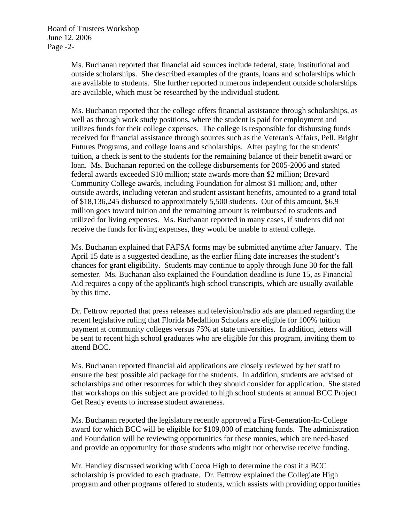Ms. Buchanan reported that financial aid sources include federal, state, institutional and outside scholarships. She described examples of the grants, loans and scholarships which are available to students. She further reported numerous independent outside scholarships are available, which must be researched by the individual student.

Ms. Buchanan reported that the college offers financial assistance through scholarships, as well as through work study positions, where the student is paid for employment and utilizes funds for their college expenses. The college is responsible for disbursing funds received for financial assistance through sources such as the Veteran's Affairs, Pell, Bright Futures Programs, and college loans and scholarships. After paying for the students' tuition, a check is sent to the students for the remaining balance of their benefit award or loan. Ms. Buchanan reported on the college disbursements for 2005-2006 and stated federal awards exceeded \$10 million; state awards more than \$2 million; Brevard Community College awards, including Foundation for almost \$1 million; and, other outside awards, including veteran and student assistant benefits, amounted to a grand total of \$18,136,245 disbursed to approximately 5,500 students. Out of this amount, \$6.9 million goes toward tuition and the remaining amount is reimbursed to students and utilized for living expenses. Ms. Buchanan reported in many cases, if students did not receive the funds for living expenses, they would be unable to attend college.

Ms. Buchanan explained that FAFSA forms may be submitted anytime after January. The April 15 date is a suggested deadline, as the earlier filing date increases the student's chances for grant eligibility. Students may continue to apply through June 30 for the fall semester. Ms. Buchanan also explained the Foundation deadline is June 15, as Financial Aid requires a copy of the applicant's high school transcripts, which are usually available by this time.

Dr. Fettrow reported that press releases and television/radio ads are planned regarding the recent legislative ruling that Florida Medallion Scholars are eligible for 100% tuition payment at community colleges versus 75% at state universities. In addition, letters will be sent to recent high school graduates who are eligible for this program, inviting them to attend BCC.

Ms. Buchanan reported financial aid applications are closely reviewed by her staff to ensure the best possible aid package for the students. In addition, students are advised of scholarships and other resources for which they should consider for application. She stated that workshops on this subject are provided to high school students at annual BCC Project Get Ready events to increase student awareness.

Ms. Buchanan reported the legislature recently approved a First-Generation-In-College award for which BCC will be eligible for \$109,000 of matching funds. The administration and Foundation will be reviewing opportunities for these monies, which are need-based and provide an opportunity for those students who might not otherwise receive funding.

Mr. Handley discussed working with Cocoa High to determine the cost if a BCC scholarship is provided to each graduate. Dr. Fettrow explained the Collegiate High program and other programs offered to students, which assists with providing opportunities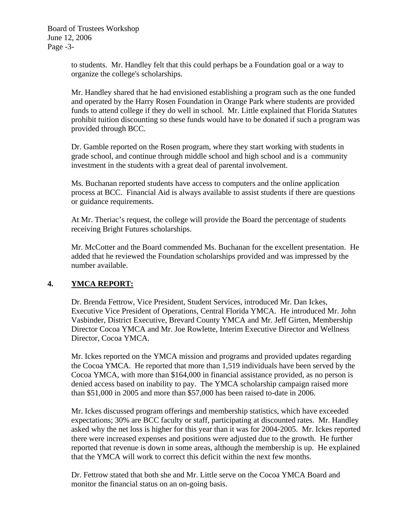to students. Mr. Handley felt that this could perhaps be a Foundation goal or a way to organize the college's scholarships.

Mr. Handley shared that he had envisioned establishing a program such as the one funded and operated by the Harry Rosen Foundation in Orange Park where students are provided funds to attend college if they do well in school. Mr. Little explained that Florida Statutes prohibit tuition discounting so these funds would have to be donated if such a program was provided through BCC.

Dr. Gamble reported on the Rosen program, where they start working with students in grade school, and continue through middle school and high school and is a community investment in the students with a great deal of parental involvement.

Ms. Buchanan reported students have access to computers and the online application process at BCC. Financial Aid is always available to assist students if there are questions or guidance requirements.

At Mr. Theriac's request, the college will provide the Board the percentage of students receiving Bright Futures scholarships.

Mr. McCotter and the Board commended Ms. Buchanan for the excellent presentation. He added that he reviewed the Foundation scholarships provided and was impressed by the number available.

# **4. YMCA REPORT:**

Dr. Brenda Fettrow, Vice President, Student Services, introduced Mr. Dan Ickes, Executive Vice President of Operations, Central Florida YMCA. He introduced Mr. John Vasbinder, District Executive, Brevard County YMCA and Mr. Jeff Girten, Membership Director Cocoa YMCA and Mr. Joe Rowlette, Interim Executive Director and Wellness Director, Cocoa YMCA.

Mr. Ickes reported on the YMCA mission and programs and provided updates regarding the Cocoa YMCA. He reported that more than 1,519 individuals have been served by the Cocoa YMCA, with more than \$164,000 in financial assistance provided, as no person is denied access based on inability to pay. The YMCA scholarship campaign raised more than \$51,000 in 2005 and more than \$57,000 has been raised to-date in 2006.

Mr. Ickes discussed program offerings and membership statistics, which have exceeded expectations; 30% are BCC faculty or staff, participating at discounted rates. Mr. Handley asked why the net loss is higher for this year than it was for 2004-2005. Mr. Ickes reported there were increased expenses and positions were adjusted due to the growth. He further reported that revenue is down in some areas, although the membership is up. He explained that the YMCA will work to correct this deficit within the next few months.

Dr. Fettrow stated that both she and Mr. Little serve on the Cocoa YMCA Board and monitor the financial status on an on-going basis.